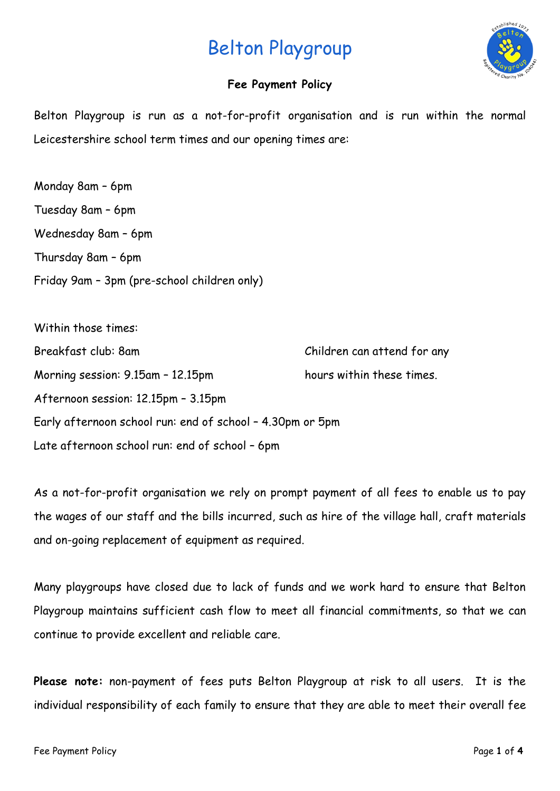

# **Fee Payment Policy**

Belton Playgroup is run as a not-for-profit organisation and is run within the normal Leicestershire school term times and our opening times are:

Monday 8am – 6pm Tuesday 8am – 6pm Wednesday 8am – 6pm Thursday 8am – 6pm Friday 9am – 3pm (pre-school children only)

| Within those times:                                       |                             |
|-----------------------------------------------------------|-----------------------------|
| Breakfast club: 8am                                       | Children can attend for any |
| Morning session: 9.15am - 12.15pm                         | hours within these times.   |
| Afternoon session: 12.15pm - 3.15pm                       |                             |
| Early afternoon school run: end of school - 4.30pm or 5pm |                             |
| Late afternoon school run: end of school - 6pm            |                             |

As a not-for-profit organisation we rely on prompt payment of all fees to enable us to pay the wages of our staff and the bills incurred, such as hire of the village hall, craft materials and on-going replacement of equipment as required.

Many playgroups have closed due to lack of funds and we work hard to ensure that Belton Playgroup maintains sufficient cash flow to meet all financial commitments, so that we can continue to provide excellent and reliable care.

**Please note:** non-payment of fees puts Belton Playgroup at risk to all users. It is the individual responsibility of each family to ensure that they are able to meet their overall fee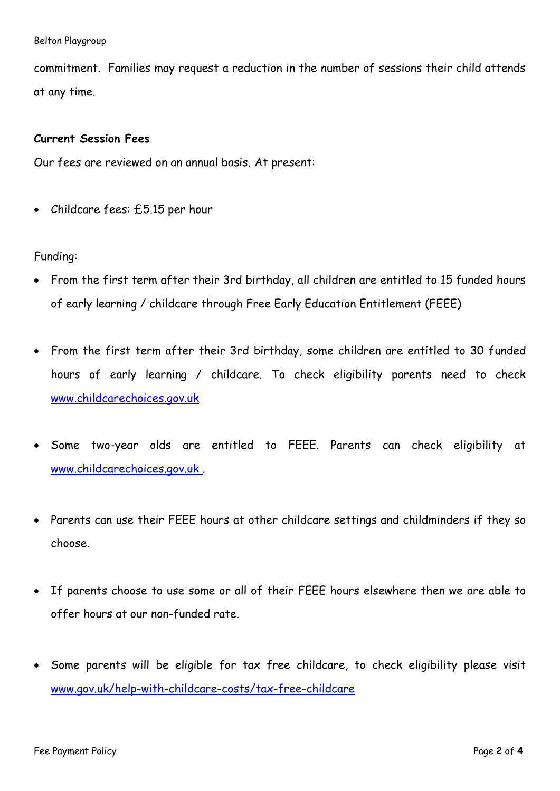commitment. Families may request a reduction in the number of sessions their child attends at any time.

## **Current Session Fees**

Our fees are reviewed on an annual basis. At present:

• Childcare fees: £5.15 per hour

## Funding:

- From the first term after their 3rd birthday, all children are entitled to 15 funded hours of early learning / childcare through Free Early Education Entitlement (FEEE)
- From the first term after their 3rd birthday, some children are entitled to 30 funded hours of early learning / childcare. To check eligibility parents need to check [www.childcarechoices.gov.uk](http://www.childcarechoices.gov.uk/)
- Some two-year olds are entitled to FEEE. Parents can check eligibility at [www.childcarechoices.gov.uk](http://www.childcarechoices.gov.uk/) .
- Parents can use their FEEE hours at other childcare settings and childminders if they so choose.
- If parents choose to use some or all of their FEEE hours elsewhere then we are able to offer hours at our non-funded rate.
- Some parents will be eligible for tax free childcare, to check eligibility please visit [www.gov.uk/help-with-childcare-costs/tax-free-childcare](http://www.gov.uk/help-with-childcare-costs/tax-free-childcare)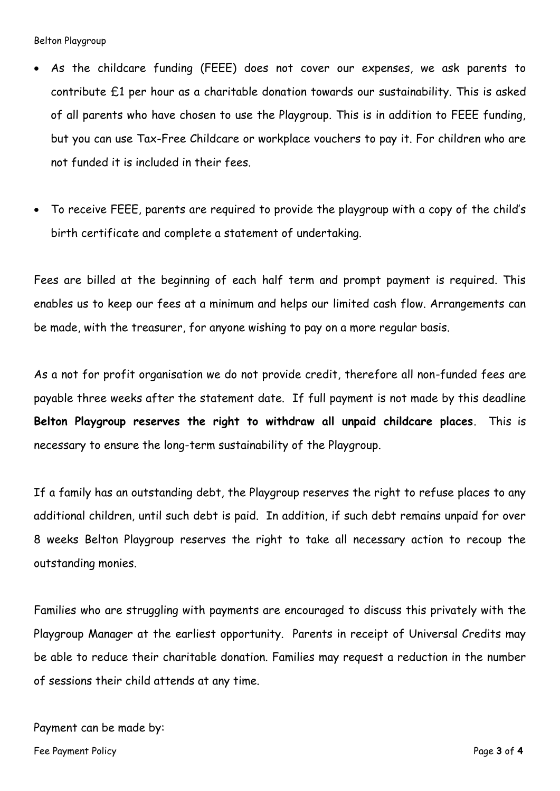- As the childcare funding (FEEE) does not cover our expenses, we ask parents to contribute £1 per hour as a charitable donation towards our sustainability. This is asked of all parents who have chosen to use the Playgroup. This is in addition to FEEE funding, but you can use Tax-Free Childcare or workplace vouchers to pay it. For children who are not funded it is included in their fees.
- To receive FEEE, parents are required to provide the playgroup with a copy of the child's birth certificate and complete a statement of undertaking.

Fees are billed at the beginning of each half term and prompt payment is required. This enables us to keep our fees at a minimum and helps our limited cash flow. Arrangements can be made, with the treasurer, for anyone wishing to pay on a more regular basis.

As a not for profit organisation we do not provide credit, therefore all non-funded fees are payable three weeks after the statement date. If full payment is not made by this deadline **Belton Playgroup reserves the right to withdraw all unpaid childcare places**. This is necessary to ensure the long-term sustainability of the Playgroup.

If a family has an outstanding debt, the Playgroup reserves the right to refuse places to any additional children, until such debt is paid. In addition, if such debt remains unpaid for over 8 weeks Belton Playgroup reserves the right to take all necessary action to recoup the outstanding monies.

Families who are struggling with payments are encouraged to discuss this privately with the Playgroup Manager at the earliest opportunity. Parents in receipt of Universal Credits may be able to reduce their charitable donation. Families may request a reduction in the number of sessions their child attends at any time.